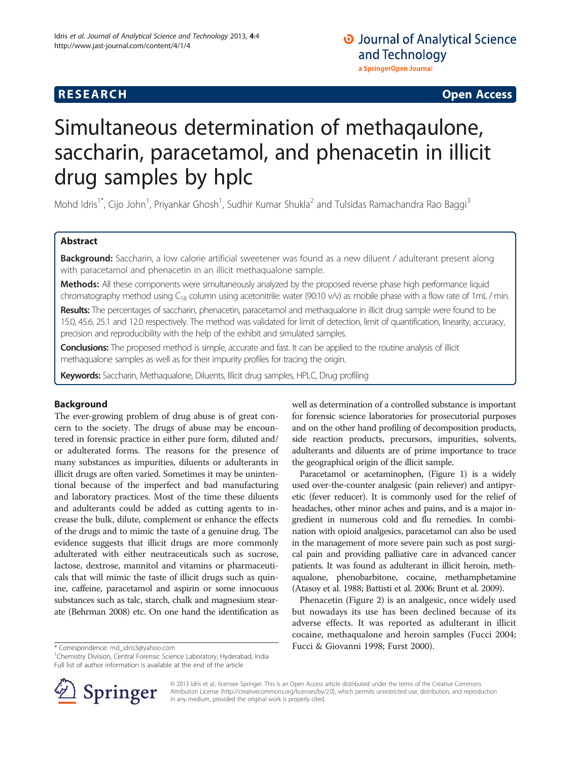## **RESEARCH CHINESE ARCH CHINESE ARCH CHINESE ARCH <b>CHINESE ARCH**

# Simultaneous determination of methaqaulone, saccharin, paracetamol, and phenacetin in illicit drug samples by hplc

Mohd Idris<sup>1\*</sup>, Cijo John<sup>1</sup>, Priyankar Ghosh<sup>1</sup>, Sudhir Kumar Shukla<sup>2</sup> and Tulsidas Ramachandra Rao Baggi<sup>3</sup>

## Abstract

Background: Saccharin, a low calorie artificial sweetener was found as a new diluent / adulterant present along with paracetamol and phenacetin in an illicit methaqualone sample.

Methods: All these components were simultaneously analyzed by the proposed reverse phase high performance liquid chromatography method using C<sub>18</sub> column using acetonitrile: water (90:10 v/v) as mobile phase with a flow rate of 1mL/min.

Results: The percentages of saccharin, phenacetin, paracetamol and methaqualone in illicit drug sample were found to be 15.0, 45.6, 25.1 and 12.0 respectively. The method was validated for limit of detection, limit of quantification, linearity, accuracy, precision and reproducibility with the help of the exhibit and simulated samples.

Conclusions: The proposed method is simple, accurate and fast. It can be applied to the routine analysis of illicit methaqualone samples as well as for their impurity profiles for tracing the origin.

Keywords: Saccharin, Methaqualone, Diluents, Illicit drug samples, HPLC, Drug profiling

## Background

The ever-growing problem of drug abuse is of great concern to the society. The drugs of abuse may be encountered in forensic practice in either pure form, diluted and/ or adulterated forms. The reasons for the presence of many substances as impurities, diluents or adulterants in illicit drugs are often varied. Sometimes it may be unintentional because of the imperfect and bad manufacturing and laboratory practices. Most of the time these diluents and adulterants could be added as cutting agents to increase the bulk, dilute, complement or enhance the effects of the drugs and to mimic the taste of a genuine drug. The evidence suggests that illicit drugs are more commonly adulterated with either neutraceuticals such as sucrose, lactose, dextrose, mannitol and vitamins or pharmaceuticals that will mimic the taste of illicit drugs such as quinine, caffeine, paracetamol and aspirin or some innocuous substances such as talc, starch, chalk and magnesium stearate (Behrman [2008\)](#page-5-0) etc. On one hand the identification as

well as determination of a controlled substance is important for forensic science laboratories for prosecutorial purposes and on the other hand profiling of decomposition products, side reaction products, precursors, impurities, solvents, adulterants and diluents are of prime importance to trace the geographical origin of the illicit sample.

Paracetamol or acetaminophen, (Figure [1\)](#page-1-0) is a widely used over-the-counter analgesic (pain reliever) and antipyretic (fever reducer). It is commonly used for the relief of headaches, other minor aches and pains, and is a major ingredient in numerous cold and flu remedies. In combination with opioid analgesics, paracetamol can also be used in the management of more severe pain such as post surgical pain and providing palliative care in advanced cancer patients. It was found as adulterant in illicit heroin, methaqualone, phenobarbitone, cocaine, methamphetamine (Atasoy et al. [1988](#page-5-0); Battisti et al. [2006](#page-5-0); Brunt et al. [2009](#page-5-0)).

Phenacetin (Figure [2\)](#page-1-0) is an analgesic, once widely used but nowadays its use has been declined because of its adverse effects. It was reported as adulterant in illicit cocaine, methaqualone and heroin samples (Fucci [2004](#page-5-0); \* Correspondence: [md\\_idris3@yahoo.com](mailto:md_idris3@yahoo.com) Fucci & Giovanni [1998](#page-5-0); Furst [2000](#page-5-0)).



© 2013 Idris et al.; licensee Springer. This is an Open Access article distributed under the terms of the Creative Commons Attribution License [\(http://creativecommons.org/licenses/by/2.0\)](http://creativecommons.org/licenses/by/2.0), which permits unrestricted use, distribution, and reproduction in any medium, provided the original work is properly cited.

<sup>&</sup>lt;sup>1</sup>Chemistry Division, Central Forensic Science Laboratory, Hyderabad, India Full list of author information is available at the end of the article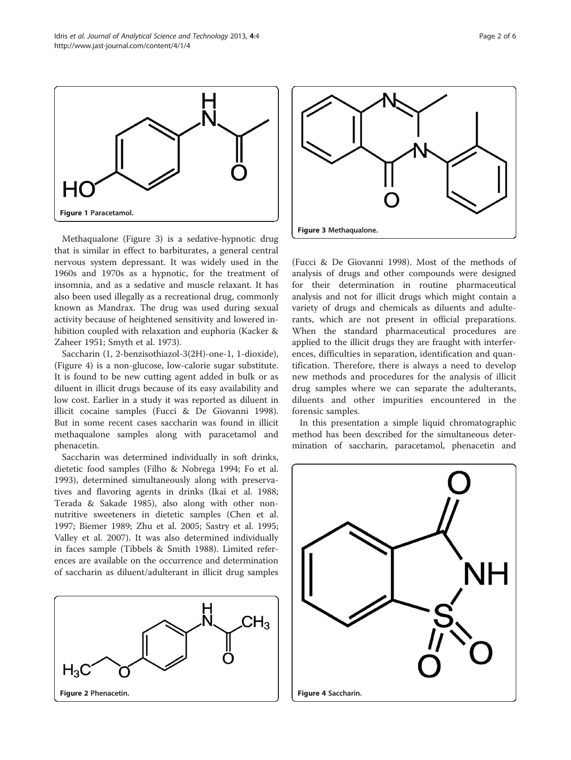<span id="page-1-0"></span>

Methaqualone (Figure 3) is a sedative-hypnotic drug that is similar in effect to barbiturates, a general central nervous system depressant. It was widely used in the 1960s and 1970s as a hypnotic, for the treatment of insomnia, and as a sedative and muscle relaxant. It has also been used illegally as a recreational drug, commonly known as Mandrax. The drug was used during sexual activity because of heightened sensitivity and lowered inhibition coupled with relaxation and euphoria (Kacker & Zaheer [1951;](#page-5-0) Smyth et al. [1973](#page-5-0)).

Saccharin (1, 2-benzisothiazol-3(2H)-one-1, 1-dioxide), (Figure 4) is a non-glucose, low-calorie sugar substitute. It is found to be new cutting agent added in bulk or as diluent in illicit drugs because of its easy availability and low cost. Earlier in a study it was reported as diluent in illicit cocaine samples (Fucci & De Giovanni [1998](#page-5-0)). But in some recent cases saccharin was found in illicit methaqualone samples along with paracetamol and phenacetin.

Saccharin was determined individually in soft drinks, dietetic food samples (Filho & Nobrega [1994;](#page-5-0) Fo et al. [1993](#page-5-0)), determined simultaneously along with preservatives and flavoring agents in drinks (Ikai et al. [1988](#page-5-0); Terada & Sakade [1985](#page-5-0)), also along with other nonnutritive sweeteners in dietetic samples (Chen et al. [1997](#page-5-0); Biemer [1989;](#page-5-0) Zhu et al. [2005](#page-5-0); Sastry et al. [1995](#page-5-0); Valley et al. [2007](#page-5-0)). It was also determined individually in faces sample (Tibbels & Smith [1988\)](#page-5-0). Limited references are available on the occurrence and determination of saccharin as diluent/adulterant in illicit drug samples





(Fucci & De Giovanni [1998](#page-5-0)). Most of the methods of analysis of drugs and other compounds were designed for their determination in routine pharmaceutical analysis and not for illicit drugs which might contain a variety of drugs and chemicals as diluents and adulterants, which are not present in official preparations. When the standard pharmaceutical procedures are applied to the illicit drugs they are fraught with interferences, difficulties in separation, identification and quantification. Therefore, there is always a need to develop new methods and procedures for the analysis of illicit drug samples where we can separate the adulterants, diluents and other impurities encountered in the forensic samples.

In this presentation a simple liquid chromatographic method has been described for the simultaneous determination of saccharin, paracetamol, phenacetin and

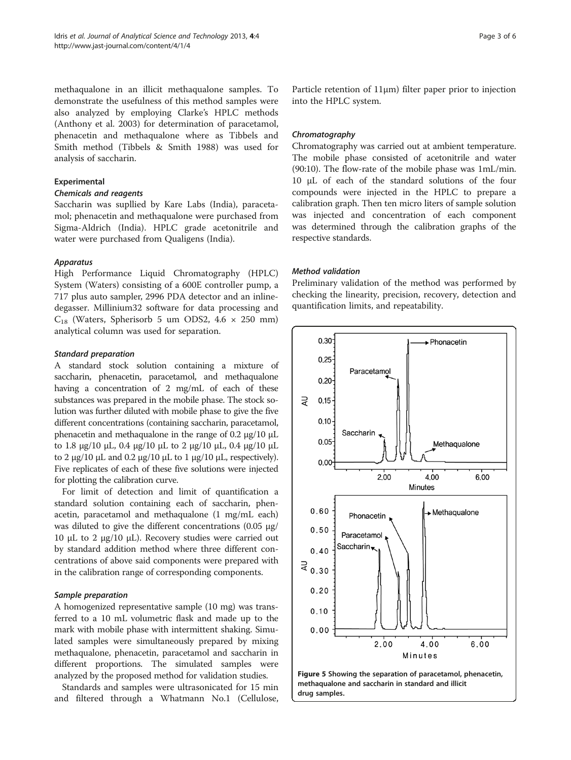<span id="page-2-0"></span>methaqualone in an illicit methaqualone samples. To demonstrate the usefulness of this method samples were also analyzed by employing Clarke's HPLC methods (Anthony et al. [2003](#page-5-0)) for determination of paracetamol, phenacetin and methaqualone where as Tibbels and Smith method (Tibbels & Smith [1988\)](#page-5-0) was used for analysis of saccharin.

## Experimental

## Chemicals and reagents

Saccharin was supllied by Kare Labs (India), paracetamol; phenacetin and methaqualone were purchased from Sigma-Aldrich (India). HPLC grade acetonitrile and water were purchased from Qualigens (India).

#### Apparatus

High Performance Liquid Chromatography (HPLC) System (Waters) consisting of a 600E controller pump, a 717 plus auto sampler, 2996 PDA detector and an inlinedegasser. Millinium32 software for data processing and  $C_{18}$  (Waters, Spherisorb 5 um ODS2, 4.6  $\times$  250 mm) analytical column was used for separation.

#### Standard preparation

A standard stock solution containing a mixture of saccharin, phenacetin, paracetamol, and methaqualone having a concentration of 2 mg/mL of each of these substances was prepared in the mobile phase. The stock solution was further diluted with mobile phase to give the five different concentrations (containing saccharin, paracetamol, phenacetin and methaqualone in the range of 0.2 μg/10 μL to 1.8 μg/10 μL, 0.4 μg/10 μL to 2 μg/10 μL, 0.4 μg/10 μL to 2 μg/10 μL and 0.2 μg/10 μL to 1 μg/10 μL, respectively). Five replicates of each of these five solutions were injected for plotting the calibration curve.

For limit of detection and limit of quantification a standard solution containing each of saccharin, phenacetin, paracetamol and methaqualone (1 mg/mL each) was diluted to give the different concentrations (0.05 μg/ 10 μL to 2 μg/10 μL). Recovery studies were carried out by standard addition method where three different concentrations of above said components were prepared with in the calibration range of corresponding components.

#### Sample preparation

A homogenized representative sample (10 mg) was transferred to a 10 mL volumetric flask and made up to the mark with mobile phase with intermittent shaking. Simulated samples were simultaneously prepared by mixing methaqualone, phenacetin, paracetamol and saccharin in different proportions. The simulated samples were analyzed by the proposed method for validation studies.

Standards and samples were ultrasonicated for 15 min and filtered through a Whatmann No.1 (Cellulose,

Particle retention of 11μm) filter paper prior to injection into the HPLC system.

#### Chromatography

Chromatography was carried out at ambient temperature. The mobile phase consisted of acetonitrile and water (90:10). The flow-rate of the mobile phase was 1mL/min. 10 μL of each of the standard solutions of the four compounds were injected in the HPLC to prepare a calibration graph. Then ten micro liters of sample solution was injected and concentration of each component was determined through the calibration graphs of the respective standards.

## Method validation

Preliminary validation of the method was performed by checking the linearity, precision, recovery, detection and quantification limits, and repeatability.

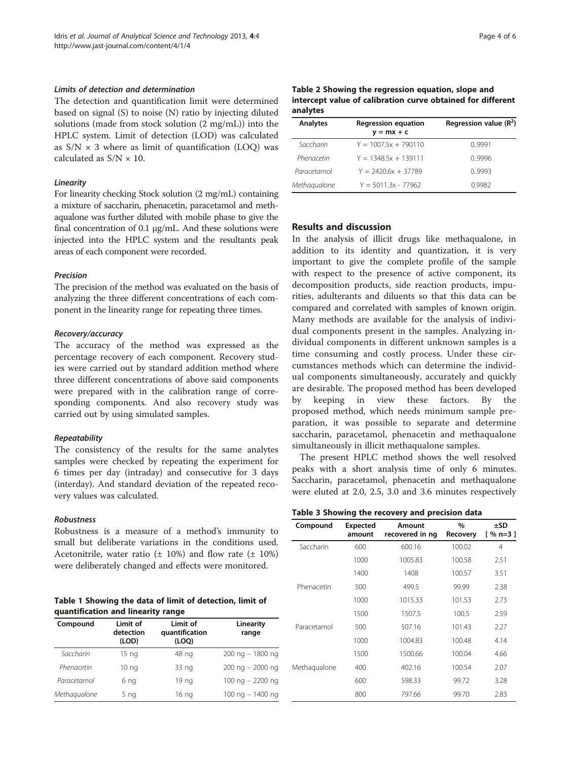### <span id="page-3-0"></span>Limits of detection and determination

The detection and quantification limit were determined based on signal (S) to noise (N) ratio by injecting diluted solutions (made from stock solution (2 mg/mL)) into the HPLC system. Limit of detection (LOD) was calculated as  $S/N \times 3$  where as limit of quantification (LOO) was calculated as  $S/N \times 10$ .

## Linearity

For linearity checking Stock solution (2 mg/mL) containing a mixture of saccharin, phenacetin, paracetamol and methaqualone was further diluted with mobile phase to give the final concentration of 0.1 μg/mL. And these solutions were injected into the HPLC system and the resultants peak areas of each component were recorded.

#### Precision

The precision of the method was evaluated on the basis of analyzing the three different concentrations of each component in the linearity range for repeating three times.

## Recovery/accuracy

The accuracy of the method was expressed as the percentage recovery of each component. Recovery studies were carried out by standard addition method where three different concentrations of above said components were prepared with in the calibration range of corresponding components. And also recovery study was carried out by using simulated samples.

#### Repeatability

The consistency of the results for the same analytes samples were checked by repeating the experiment for 6 times per day (intraday) and consecutive for 3 days (interday). And standard deviation of the repeated recovery values was calculated.

#### Robustness

Robustness is a measure of a method's immunity to small but deliberate variations in the conditions used. Acetonitrile, water ratio ( $\pm$  10%) and flow rate ( $\pm$  10%) were deliberately changed and effects were monitored.

Table 1 Showing the data of limit of detection, limit of quantification and linearity range

| Compound     | Limit of<br>Limit of<br>quantification<br>detection<br>(LOD) |                  | Linearity<br>range   |  |
|--------------|--------------------------------------------------------------|------------------|----------------------|--|
| Saccharin    | 15 <sub>ng</sub>                                             | 48 ng            | $200$ ng $- 1800$ ng |  |
| Phenacetin   | 10 <sub>ng</sub>                                             | 33 ng            | $200$ ng $- 2000$ ng |  |
| Paracetamol  | 6 ng                                                         | 19 ng            | 100 $nq - 2200$ ng   |  |
| Methagualone | 5 <sub>ng</sub>                                              | 16 <sub>ng</sub> | 100 $nq - 1400$ ng   |  |

Table 2 Showing the regression equation, slope and intercept value of calibration curve obtained for different analytes

| Analytes     | <b>Regression equation</b><br>$y = mx + c$ | Regression value $(R2)$ |
|--------------|--------------------------------------------|-------------------------|
| Saccharin    | $Y = 1007.5x + 790110$                     | 0.9991                  |
| Phenacetin   | $Y = 1348.5x + 139111$                     | 0.9996                  |
| Paracetamol  | $Y = 2420.6x + 37789$                      | 0.9993                  |
| Methaqualone | $Y = 5011.3x - 77962$                      | 0.9982                  |

## Results and discussion

In the analysis of illicit drugs like methaqualone, in addition to its identity and quantization, it is very important to give the complete profile of the sample with respect to the presence of active component, its decomposition products, side reaction products, impurities, adulterants and diluents so that this data can be compared and correlated with samples of known origin. Many methods are available for the analysis of individual components present in the samples. Analyzing individual components in different unknown samples is a time consuming and costly process. Under these circumstances methods which can determine the individual components simultaneously, accurately and quickly are desirable. The proposed method has been developed by keeping in view these factors. By the proposed method, which needs minimum sample preparation, it was possible to separate and determine saccharin, paracetamol, phenacetin and methaqualone simultaneously in illicit methaqualone samples.

The present HPLC method shows the well resolved peaks with a short analysis time of only 6 minutes. Saccharin, paracetamol, phenacetin and methaqualone were eluted at 2.0, 2.5, 3.0 and 3.6 minutes respectively

|  |  |  |  |  |  | Table 3 Showing the recovery and precision data |  |
|--|--|--|--|--|--|-------------------------------------------------|--|
|--|--|--|--|--|--|-------------------------------------------------|--|

| Compound     | <b>Expected</b><br>amount | Amount<br>recovered in ng | $\%$<br>Recovery | ±SD<br>[% n=3 ] |
|--------------|---------------------------|---------------------------|------------------|-----------------|
| Saccharin    | 600                       | 600.16                    | 100.02           | 4               |
|              | 1000                      | 1005.83                   | 100.58           | 2.51            |
|              | 1400                      | 1408                      | 100.57           | 3.51            |
| Phenacetin   | 500                       | 499.5                     | 99.99            | 2.38            |
|              | 1000                      | 1015.33                   | 101.53           | 2.73            |
|              | 1500                      | 1507.5                    | 100.5            | 2.59            |
| Paracetamol  | 500                       | 507.16                    | 101.43           | 2.27            |
|              | 1000                      | 1004.83                   | 100.48           | 4.14            |
|              | 1500                      | 1500.66                   | 100.04           | 4.66            |
| Methaqualone | 400                       | 402.16                    | 100.54           | 2.07            |
|              | 600                       | 598.33                    | 99.72            | 3.28            |
|              | 800                       | 797.66                    | 99.70            | 2.83            |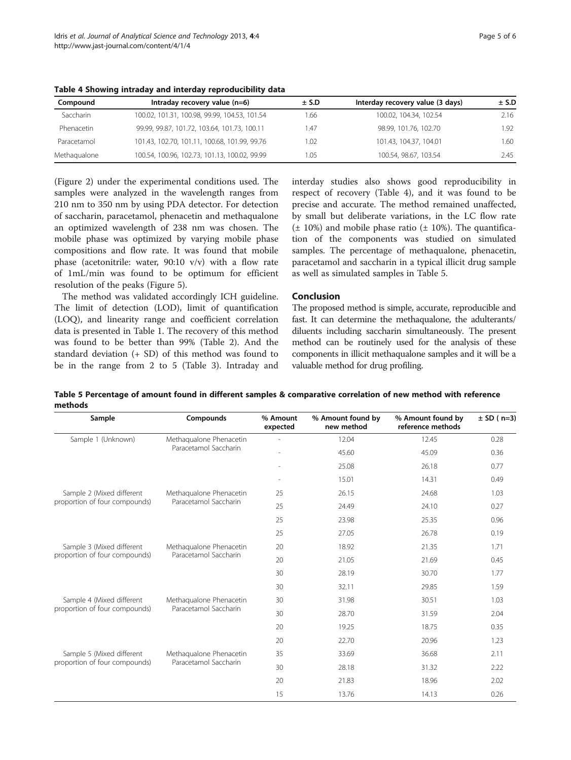| Compound     | Intraday recovery value (n=6)                 | $±$ S.D | Interday recovery value (3 days) | $±$ S.D |
|--------------|-----------------------------------------------|---------|----------------------------------|---------|
| Saccharin    | 100.02, 101.31, 100.98, 99.99, 104.53, 101.54 | 1.66    | 100.02, 104.34, 102.54           | 2.16    |
| Phenacetin   | 99.99, 99.87, 101.72, 103.64, 101.73, 100.11  | 1.47    | 98.99, 101.76, 102.70            | l.92    |
| Paracetamol  | 101.43, 102.70, 101.11, 100.68, 101.99, 99.76 | 1.02    | 101.43, 104.37, 104.01           | .60     |
| Methaqualone | 100.54, 100.96, 102.73, 101.13, 100.02, 99.99 | 1.05    | 100.54, 98.67, 103.54            | 2.45    |

Table 4 Showing intraday and interday reproducibility data

(Figure [2](#page-1-0)) under the experimental conditions used. The samples were analyzed in the wavelength ranges from 210 nm to 350 nm by using PDA detector. For detection of saccharin, paracetamol, phenacetin and methaqualone an optimized wavelength of 238 nm was chosen. The mobile phase was optimized by varying mobile phase compositions and flow rate. It was found that mobile phase (acetonitrile: water, 90:10 v/v) with a flow rate of 1mL/min was found to be optimum for efficient resolution of the peaks (Figure [5](#page-2-0)).

The method was validated accordingly ICH guideline. The limit of detection (LOD), limit of quantification (LOQ), and linearity range and coefficient correlation data is presented in Table [1](#page-3-0). The recovery of this method was found to be better than 99% (Table [2](#page-3-0)). And the standard deviation (+ SD) of this method was found to be in the range from 2 to 5 (Table [3\)](#page-3-0). Intraday and interday studies also shows good reproducibility in respect of recovery (Table 4), and it was found to be precise and accurate. The method remained unaffected, by small but deliberate variations, in the LC flow rate  $(\pm 10\%)$  and mobile phase ratio ( $\pm 10\%$ ). The quantification of the components was studied on simulated samples. The percentage of methaqualone, phenacetin, paracetamol and saccharin in a typical illicit drug sample as well as simulated samples in Table 5.

## Conclusion

The proposed method is simple, accurate, reproducible and fast. It can determine the methaqualone, the adulterants/ diluents including saccharin simultaneously. The present method can be routinely used for the analysis of these components in illicit methaqualone samples and it will be a valuable method for drug profiling.

Table 5 Percentage of amount found in different samples & comparative correlation of new method with reference methods

| Sample                        | Compounds                                        | % Amount<br>expected | % Amount found by<br>new method | % Amount found by<br>reference methods | $± SD( n=3)$ |
|-------------------------------|--------------------------------------------------|----------------------|---------------------------------|----------------------------------------|--------------|
| Sample 1 (Unknown)            | Methaqualone Phenacetin<br>Paracetamol Saccharin |                      | 12.04                           | 12.45                                  | 0.28         |
|                               |                                                  | Ĭ.                   | 45.60                           | 45.09                                  | 0.36         |
|                               |                                                  |                      | 25.08                           | 26.18                                  | 0.77         |
|                               |                                                  |                      | 15.01                           | 14.31                                  | 0.49         |
| Sample 2 (Mixed different     | Methaqualone Phenacetin<br>Paracetamol Saccharin | 25                   | 26.15                           | 24.68                                  | 1.03         |
| proportion of four compounds) |                                                  | 25                   | 24.49                           | 24.10                                  | 0.27         |
|                               |                                                  | 25                   | 23.98                           | 25.35                                  | 0.96         |
|                               |                                                  | 25                   | 27.05                           | 26.78                                  | 0.19         |
| Sample 3 (Mixed different     | Methaqualone Phenacetin<br>Paracetamol Saccharin | 20                   | 18.92                           | 21.35                                  | 1.71         |
| proportion of four compounds) |                                                  | 20                   | 21.05                           | 21.69                                  | 0.45         |
|                               |                                                  | 30                   | 28.19                           | 30.70                                  | 1.77         |
|                               |                                                  | 30                   | 32.11                           | 29.85                                  | 1.59         |
| Sample 4 (Mixed different     | Methaqualone Phenacetin<br>Paracetamol Saccharin | 30                   | 31.98                           | 30.51                                  | 1.03         |
| proportion of four compounds) |                                                  | 30                   | 28.70                           | 31.59                                  | 2.04         |
|                               |                                                  | 20                   | 19.25                           | 18.75                                  | 0.35         |
|                               |                                                  | 20                   | 22.70                           | 20.96                                  | 1.23         |
| Sample 5 (Mixed different     | Methaqualone Phenacetin<br>Paracetamol Saccharin | 35                   | 33.69                           | 36.68                                  | 2.11         |
| proportion of four compounds) |                                                  | 30                   | 28.18                           | 31.32                                  | 2.22         |
|                               |                                                  | 20                   | 21.83                           | 18.96                                  | 2.02         |
|                               |                                                  | 15                   | 13.76                           | 14.13                                  | 0.26         |